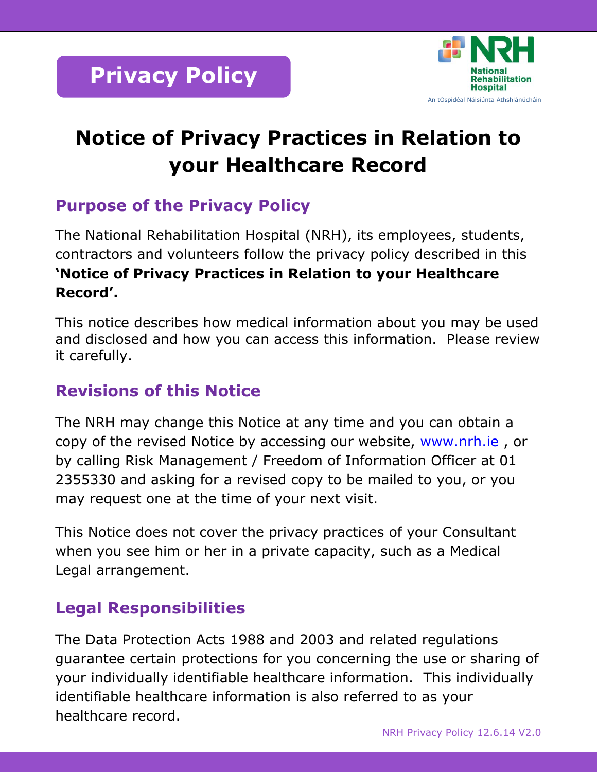

# **Notice of Privacy Practices in Relation to your Healthcare Record**

# **Purpose of the Privacy Policy**

The National Rehabilitation Hospital (NRH), its employees, students, contractors and volunteers follow the privacy policy described in this **'Notice of Privacy Practices in Relation to your Healthcare Record'.**

This notice describes how medical information about you may be used and disclosed and how you can access this information. Please review it carefully.

### **Revisions of this Notice**

The NRH may change this Notice at any time and you can obtain a copy of the revised Notice by accessing our website, [www.nrh.ie](http://www.nrh.ie/), or by calling Risk Management / Freedom of Information Officer at 01 2355330 and asking for a revised copy to be mailed to you, or you may request one at the time of your next visit.

This Notice does not cover the privacy practices of your Consultant when you see him or her in a private capacity, such as a Medical Legal arrangement.

# **Legal Responsibilities**

The Data Protection Acts 1988 and 2003 and related regulations guarantee certain protections for you concerning the use or sharing of your individually identifiable healthcare information. This individually identifiable healthcare information is also referred to as your healthcare record.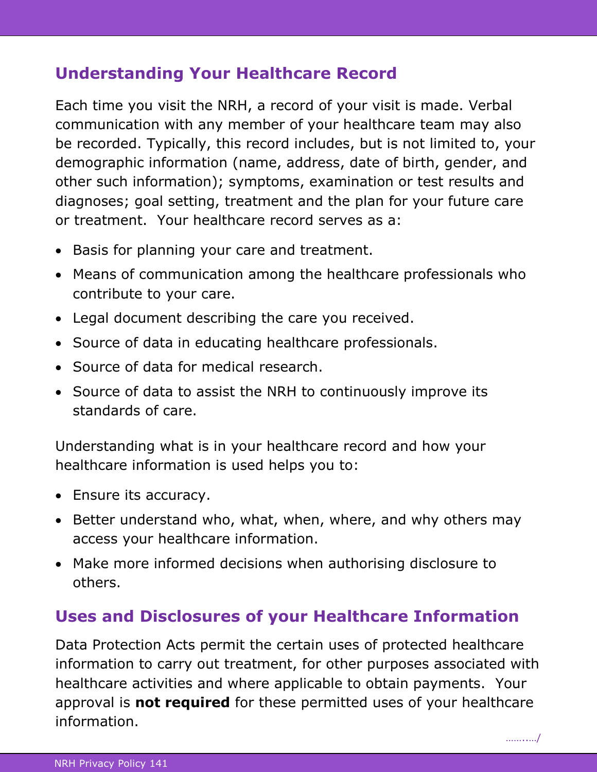### **Understanding Your Healthcare Record**

Each time you visit the NRH, a record of your visit is made. Verbal communication with any member of your healthcare team may also be recorded. Typically, this record includes, but is not limited to, your demographic information (name, address, date of birth, gender, and other such information); symptoms, examination or test results and diagnoses; goal setting, treatment and the plan for your future care or treatment. Your healthcare record serves as a:

- Basis for planning your care and treatment.
- Means of communication among the healthcare professionals who contribute to your care.
- Legal document describing the care you received.
- Source of data in educating healthcare professionals.
- Source of data for medical research.
- Source of data to assist the NRH to continuously improve its standards of care.

Understanding what is in your healthcare record and how your healthcare information is used helps you to:

- Ensure its accuracy.
- Better understand who, what, when, where, and why others may access your healthcare information.
- Make more informed decisions when authorising disclosure to others.

## **Uses and Disclosures of your Healthcare Information**

Data Protection Acts permit the certain uses of protected healthcare information to carry out treatment, for other purposes associated with healthcare activities and where applicable to obtain payments. Your approval is **not required** for these permitted uses of your healthcare information.

…………/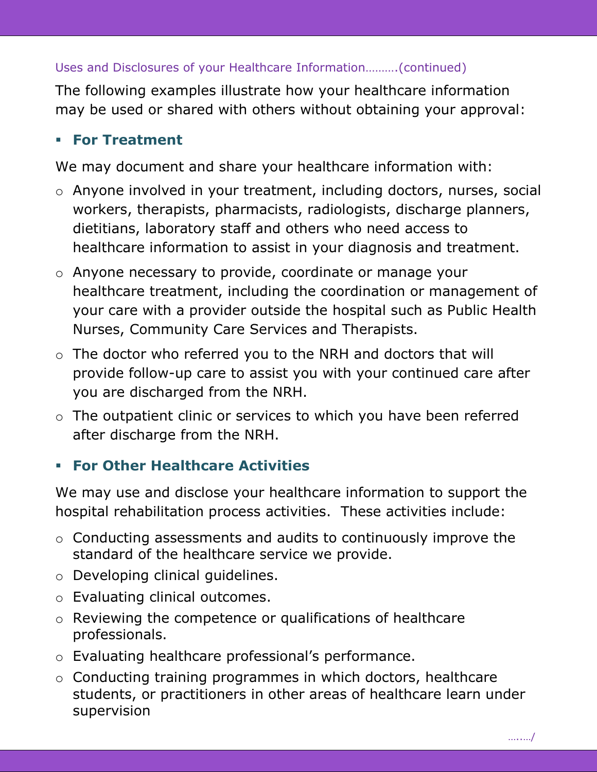#### Uses and Disclosures of your Healthcare Information……….(continued)

The following examples illustrate how your healthcare information may be used or shared with others without obtaining your approval:

### **For Treatment**

We may document and share your healthcare information with:

- o Anyone involved in your treatment, including doctors, nurses, social workers, therapists, pharmacists, radiologists, discharge planners, dietitians, laboratory staff and others who need access to healthcare information to assist in your diagnosis and treatment.
- o Anyone necessary to provide, coordinate or manage your healthcare treatment, including the coordination or management of your care with a provider outside the hospital such as Public Health Nurses, Community Care Services and Therapists.
- o The doctor who referred you to the NRH and doctors that will provide follow-up care to assist you with your continued care after you are discharged from the NRH.
- o The outpatient clinic or services to which you have been referred after discharge from the NRH.

### **For Other Healthcare Activities**

We may use and disclose your healthcare information to support the hospital rehabilitation process activities. These activities include:

- o Conducting assessments and audits to continuously improve the standard of the healthcare service we provide.
- o Developing clinical guidelines.
- o Evaluating clinical outcomes.
- o Reviewing the competence or qualifications of healthcare professionals.
- o Evaluating healthcare professional's performance.
- o Conducting training programmes in which doctors, healthcare students, or practitioners in other areas of healthcare learn under supervision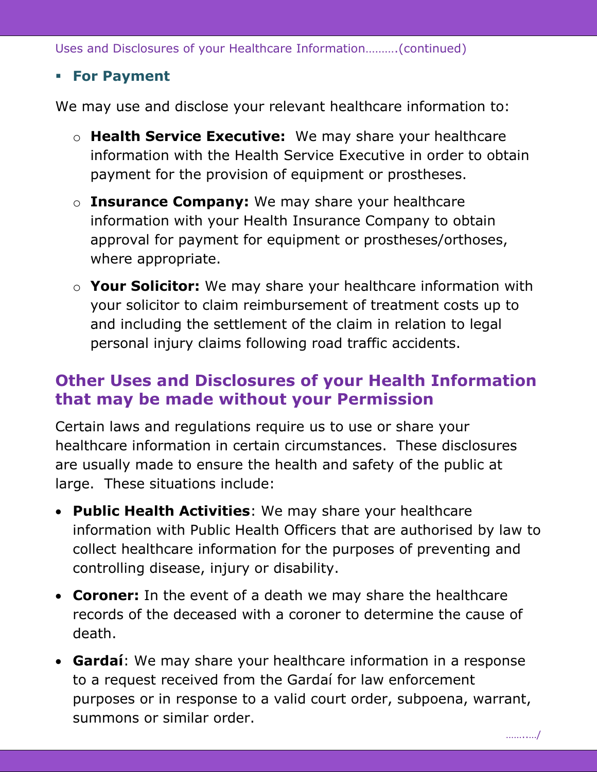Uses and Disclosures of your Healthcare Information……….(continued)

#### **For Payment**

We may use and disclose your relevant healthcare information to:

- o **Health Service Executive:** We may share your healthcare information with the Health Service Executive in order to obtain payment for the provision of equipment or prostheses.
- o **Insurance Company:** We may share your healthcare information with your Health Insurance Company to obtain approval for payment for equipment or prostheses/orthoses, where appropriate.
- o **Your Solicitor:** We may share your healthcare information with your solicitor to claim reimbursement of treatment costs up to and including the settlement of the claim in relation to legal personal injury claims following road traffic accidents.

### **Other Uses and Disclosures of your Health Information that may be made without your Permission**

Certain laws and regulations require us to use or share your healthcare information in certain circumstances. These disclosures are usually made to ensure the health and safety of the public at large. These situations include:

- **Public Health Activities**: We may share your healthcare information with Public Health Officers that are authorised by law to collect healthcare information for the purposes of preventing and controlling disease, injury or disability.
- **Coroner:** In the event of a death we may share the healthcare records of the deceased with a coroner to determine the cause of death.
- **Gardaí**: We may share your healthcare information in a response to a request received from the Gardaí for law enforcement purposes or in response to a valid court order, subpoena, warrant, summons or similar order.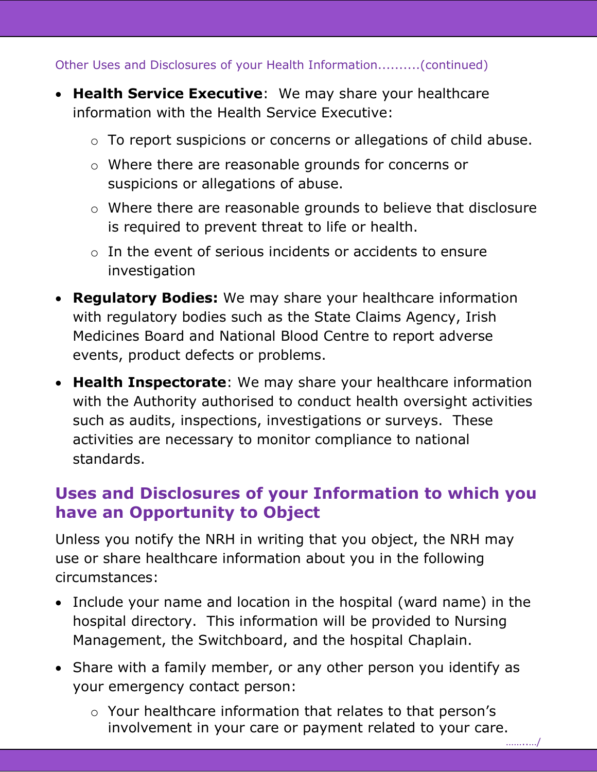Other Uses and Disclosures of your Health Information..........(continued)

- **Health Service Executive**: We may share your healthcare information with the Health Service Executive:
	- o To report suspicions or concerns or allegations of child abuse.
	- o Where there are reasonable grounds for concerns or suspicions or allegations of abuse.
	- o Where there are reasonable grounds to believe that disclosure is required to prevent threat to life or health.
	- $\circ$  In the event of serious incidents or accidents to ensure investigation
- **Regulatory Bodies:** We may share your healthcare information with regulatory bodies such as the State Claims Agency, Irish Medicines Board and National Blood Centre to report adverse events, product defects or problems.
- **Health Inspectorate**: We may share your healthcare information with the Authority authorised to conduct health oversight activities such as audits, inspections, investigations or surveys. These activities are necessary to monitor compliance to national standards.

### **Uses and Disclosures of your Information to which you have an Opportunity to Object**

Unless you notify the NRH in writing that you object, the NRH may use or share healthcare information about you in the following circumstances:

- Include your name and location in the hospital (ward name) in the hospital directory. This information will be provided to Nursing Management, the Switchboard, and the hospital Chaplain.
- Share with a family member, or any other person you identify as your emergency contact person:
	- o Your healthcare information that relates to that person's involvement in your care or payment related to your care.

……..…/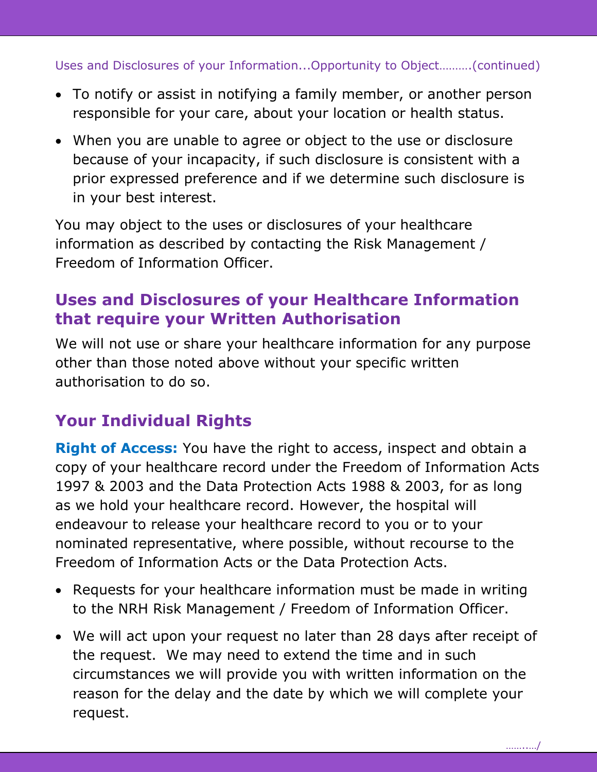Uses and Disclosures of your Information...Opportunity to Object……….(continued)

- To notify or assist in notifying a family member, or another person responsible for your care, about your location or health status.
- When you are unable to agree or object to the use or disclosure because of your incapacity, if such disclosure is consistent with a prior expressed preference and if we determine such disclosure is in your best interest.

You may object to the uses or disclosures of your healthcare information as described by contacting the Risk Management / Freedom of Information Officer.

## **Uses and Disclosures of your Healthcare Information that require your Written Authorisation**

We will not use or share your healthcare information for any purpose other than those noted above without your specific written authorisation to do so.

# **Your Individual Rights**

**Right of Access:** You have the right to access, inspect and obtain a copy of your healthcare record under the Freedom of Information Acts 1997 & 2003 and the Data Protection Acts 1988 & 2003, for as long as we hold your healthcare record. However, the hospital will endeavour to release your healthcare record to you or to your nominated representative, where possible, without recourse to the Freedom of Information Acts or the Data Protection Acts.

- Requests for your healthcare information must be made in writing to the NRH Risk Management / Freedom of Information Officer.
- We will act upon your request no later than 28 days after receipt of the request. We may need to extend the time and in such circumstances we will provide you with written information on the reason for the delay and the date by which we will complete your request.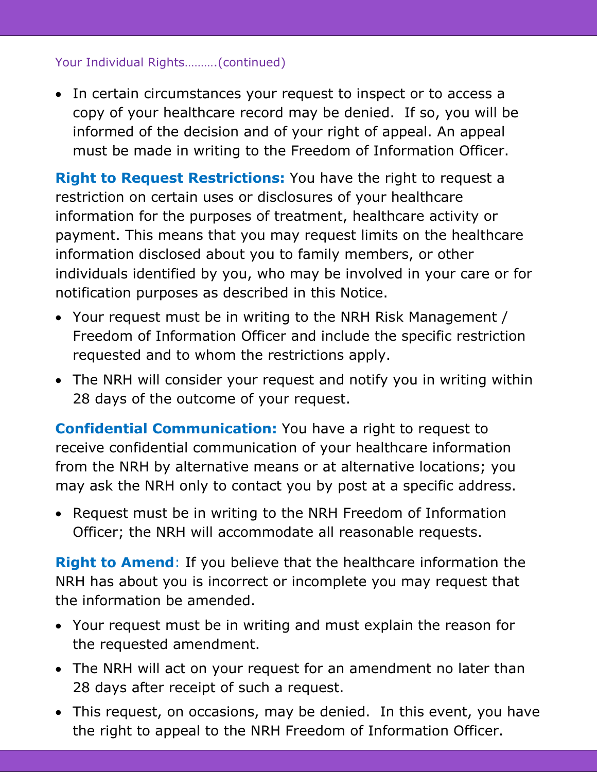#### Your Individual Rights……….(continued)

• In certain circumstances your request to inspect or to access a copy of your healthcare record may be denied. If so, you will be informed of the decision and of your right of appeal. An appeal must be made in writing to the Freedom of Information Officer.

**Right to Request Restrictions:** You have the right to request a restriction on certain uses or disclosures of your healthcare information for the purposes of treatment, healthcare activity or payment. This means that you may request limits on the healthcare information disclosed about you to family members, or other individuals identified by you, who may be involved in your care or for notification purposes as described in this Notice.

- Your request must be in writing to the NRH Risk Management / Freedom of Information Officer and include the specific restriction requested and to whom the restrictions apply.
- The NRH will consider your request and notify you in writing within 28 days of the outcome of your request.

**Confidential Communication:** You have a right to request to receive confidential communication of your healthcare information from the NRH by alternative means or at alternative locations; you may ask the NRH only to contact you by post at a specific address.

• Request must be in writing to the NRH Freedom of Information Officer; the NRH will accommodate all reasonable requests.

**Right to Amend**: If you believe that the healthcare information the NRH has about you is incorrect or incomplete you may request that the information be amended.

- Your request must be in writing and must explain the reason for the requested amendment.
- The NRH will act on your request for an amendment no later than 28 days after receipt of such a request.
- This request, on occasions, may be denied. In this event, you have the right to appeal to the NRH Freedom of Information Officer.